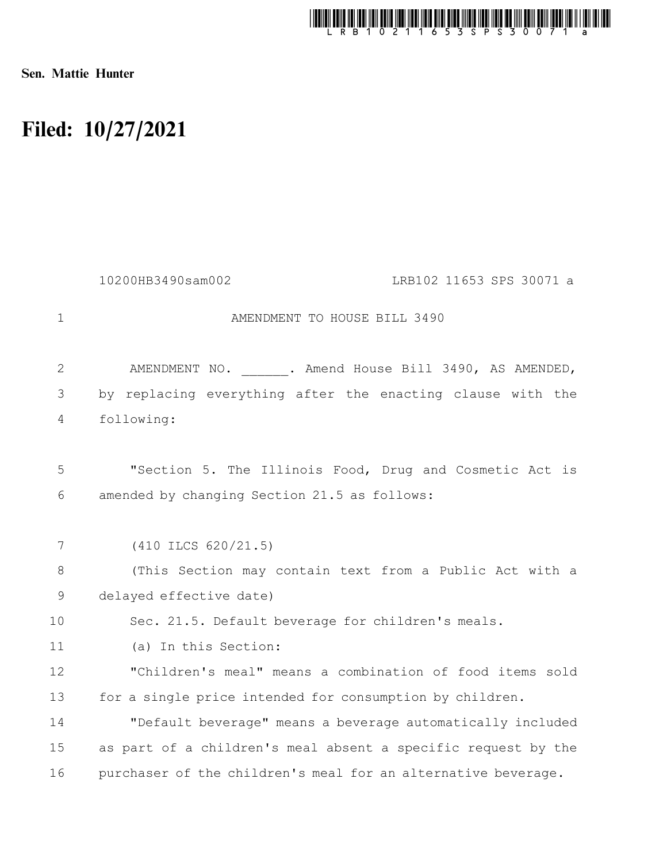

Sen. Mattie Hunter

## Filed: 10/27/2021

|              | 10200HB3490sam002<br>LRB102 11653 SPS 30071 a                 |
|--------------|---------------------------------------------------------------|
| $\mathbf{1}$ | AMENDMENT TO HOUSE BILL 3490                                  |
| $\mathbf{2}$ | AMENDMENT NO. . Amend House Bill 3490, AS AMENDED,            |
| 3            | by replacing everything after the enacting clause with the    |
| 4            | following:                                                    |
| 5            | "Section 5. The Illinois Food, Drug and Cosmetic Act is       |
| 6            | amended by changing Section 21.5 as follows:                  |
| 7            | $(410$ ILCS $620/21.5)$                                       |
| 8            | (This Section may contain text from a Public Act with a       |
| 9            | delayed effective date)                                       |
| 10           | Sec. 21.5. Default beverage for children's meals.             |
| 11           | (a) In this Section:                                          |
| 12           | "Children's meal" means a combination of food items sold      |
| 13           | for a single price intended for consumption by children.      |
| 14           | "Default beverage" means a beverage automatically included    |
| 15           | as part of a children's meal absent a specific request by the |
| 16           | purchaser of the children's meal for an alternative beverage. |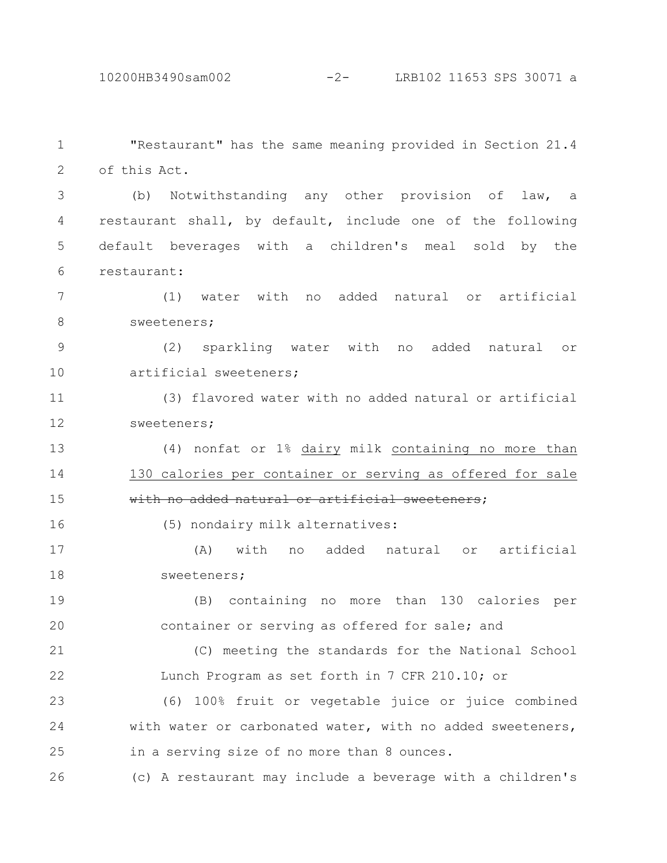10200HB3490sam002 -2- LRB102 11653 SPS 30071 a

"Restaurant" has the same meaning provided in Section 21.4 of this Act. 1 2

(b) Notwithstanding any other provision of law, a restaurant shall, by default, include one of the following default beverages with a children's meal sold by the restaurant: 3 4 5 6

(1) water with no added natural or artificial sweeteners; 7 8

(2) sparkling water with no added natural or artificial sweeteners; 9 10

(3) flavored water with no added natural or artificial sweeteners; 11 12

(4) nonfat or 1% dairy milk containing no more than 130 calories per container or serving as offered for sale with no added natural or artificial sweeteners; 13 14 15

(5) nondairy milk alternatives:

16

(A) with no added natural or artificial sweeteners; 17 18

(B) containing no more than 130 calories per container or serving as offered for sale; and 19 20

(C) meeting the standards for the National School Lunch Program as set forth in 7 CFR 210.10; or 21 22

(6) 100% fruit or vegetable juice or juice combined with water or carbonated water, with no added sweeteners, in a serving size of no more than 8 ounces. 23 24 25

(c) A restaurant may include a beverage with a children's 26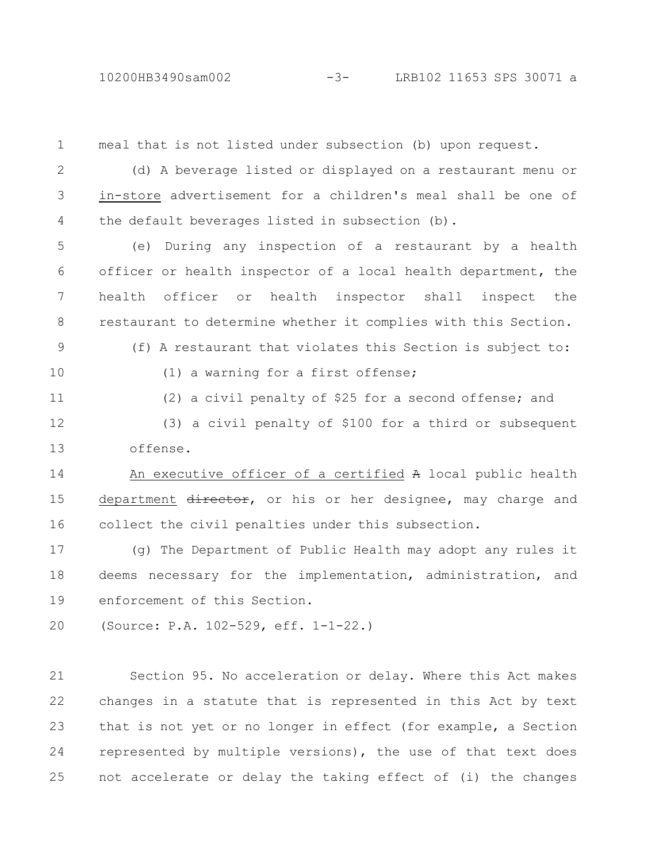## 10200HB3490sam002 -3- LRB102 11653 SPS 30071 a

meal that is not listed under subsection (b) upon request. (d) A beverage listed or displayed on a restaurant menu or in-store advertisement for a children's meal shall be one of the default beverages listed in subsection (b). (e) During any inspection of a restaurant by a health officer or health inspector of a local health department, the health officer or health inspector shall inspect the restaurant to determine whether it complies with this Section. (f) A restaurant that violates this Section is subject to: (1) a warning for a first offense; (2) a civil penalty of \$25 for a second offense; and (3) a civil penalty of \$100 for a third or subsequent offense. An executive officer of a certified A local public health department director, or his or her designee, may charge and collect the civil penalties under this subsection. (g) The Department of Public Health may adopt any rules it deems necessary for the implementation, administration, and enforcement of this Section. (Source: P.A. 102-529, eff. 1-1-22.) Section 95. No acceleration or delay. Where this Act makes changes in a statute that is represented in this Act by text that is not yet or no longer in effect (for example, a Section represented by multiple versions), the use of that text does 1 2 3 4 5 6 7 8 9 10 11 12 13 14 15 16 17 18 19 20 21 22 23 24

not accelerate or delay the taking effect of (i) the changes

25